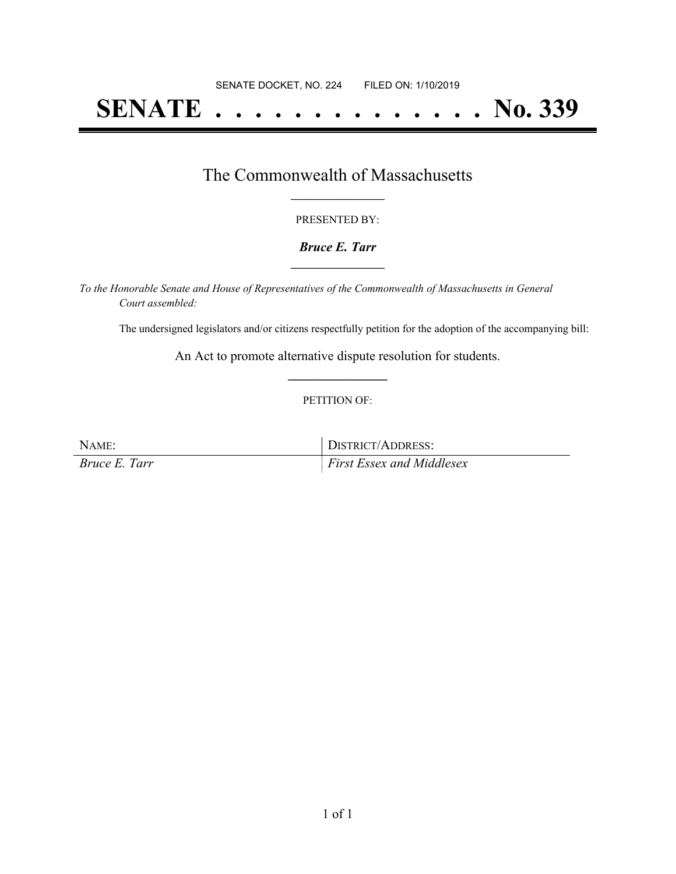## **SENATE . . . . . . . . . . . . . . No. 339**

## The Commonwealth of Massachusetts **\_\_\_\_\_\_\_\_\_\_\_\_\_\_\_\_\_**

#### PRESENTED BY:

#### *Bruce E. Tarr* **\_\_\_\_\_\_\_\_\_\_\_\_\_\_\_\_\_**

*To the Honorable Senate and House of Representatives of the Commonwealth of Massachusetts in General Court assembled:*

The undersigned legislators and/or citizens respectfully petition for the adoption of the accompanying bill:

An Act to promote alternative dispute resolution for students. **\_\_\_\_\_\_\_\_\_\_\_\_\_\_\_**

#### PETITION OF:

NAME: DISTRICT/ADDRESS: *Bruce E. Tarr First Essex and Middlesex*